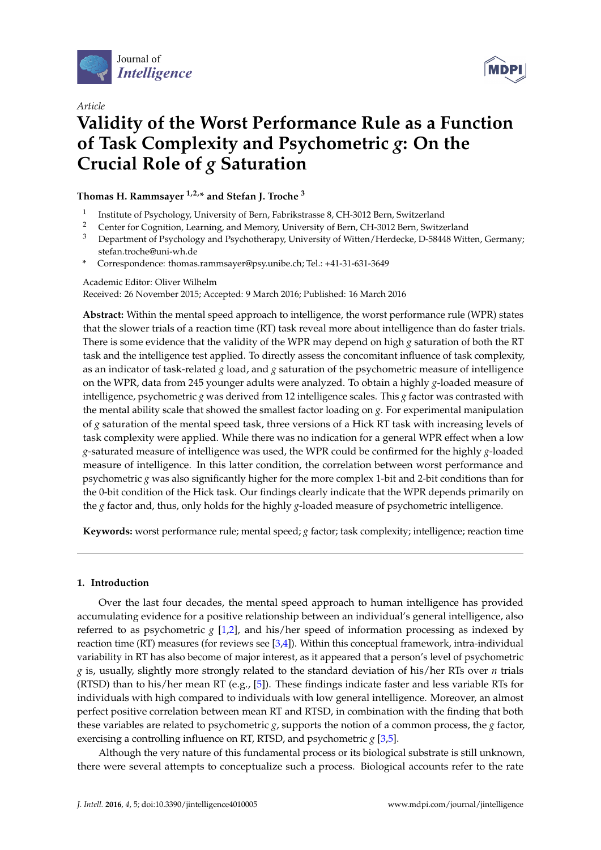

*Article*



# **Validity of the Worst Performance Rule as a Function of Task Complexity and Psychometric** *g***: On the Crucial Role of** *g* **Saturation**

# **Thomas H. Rammsayer 1,2,\* and Stefan J. Troche <sup>3</sup>**

- 1 Institute of Psychology, University of Bern, Fabrikstrasse 8, CH-3012 Bern, Switzerland
- <sup>2</sup> Center for Cognition, Learning, and Memory, University of Bern, CH-3012 Bern, Switzerland
- <sup>3</sup> Department of Psychology and Psychotherapy, University of Witten/Herdecke, D-58448 Witten, Germany; stefan.troche@uni-wh.de
- **\*** Correspondence: thomas.rammsayer@psy.unibe.ch; Tel.: +41-31-631-3649

# Academic Editor: Oliver Wilhelm

Received: 26 November 2015; Accepted: 9 March 2016; Published: 16 March 2016

**Abstract:** Within the mental speed approach to intelligence, the worst performance rule (WPR) states that the slower trials of a reaction time (RT) task reveal more about intelligence than do faster trials. There is some evidence that the validity of the WPR may depend on high *g* saturation of both the RT task and the intelligence test applied. To directly assess the concomitant influence of task complexity, as an indicator of task-related *g* load, and *g* saturation of the psychometric measure of intelligence on the WPR, data from 245 younger adults were analyzed. To obtain a highly *g*-loaded measure of intelligence, psychometric *g* was derived from 12 intelligence scales. This *g* factor was contrasted with the mental ability scale that showed the smallest factor loading on *g*. For experimental manipulation of *g* saturation of the mental speed task, three versions of a Hick RT task with increasing levels of task complexity were applied. While there was no indication for a general WPR effect when a low *g*-saturated measure of intelligence was used, the WPR could be confirmed for the highly *g*-loaded measure of intelligence. In this latter condition, the correlation between worst performance and psychometric *g* was also significantly higher for the more complex 1-bit and 2-bit conditions than for the 0-bit condition of the Hick task. Our findings clearly indicate that the WPR depends primarily on the *g* factor and, thus, only holds for the highly *g*-loaded measure of psychometric intelligence.

**Keywords:** worst performance rule; mental speed; *g* factor; task complexity; intelligence; reaction time

# **1. Introduction**

Over the last four decades, the mental speed approach to human intelligence has provided accumulating evidence for a positive relationship between an individual's general intelligence, also referred to as psychometric *g* [\[1,](#page-12-0)[2\]](#page-12-1), and his/her speed of information processing as indexed by reaction time (RT) measures (for reviews see [\[3](#page-12-2)[,4\]](#page-12-3)). Within this conceptual framework, intra-individual variability in RT has also become of major interest, as it appeared that a person's level of psychometric *g* is, usually, slightly more strongly related to the standard deviation of his/her RTs over *n* trials (RTSD) than to his/her mean RT (e.g., [\[5\]](#page-12-4)). These findings indicate faster and less variable RTs for individuals with high compared to individuals with low general intelligence. Moreover, an almost perfect positive correlation between mean RT and RTSD, in combination with the finding that both these variables are related to psychometric *g*, supports the notion of a common process, the *g* factor, exercising a controlling influence on RT, RTSD, and psychometric *g* [\[3,](#page-12-2)[5\]](#page-12-4).

Although the very nature of this fundamental process or its biological substrate is still unknown, there were several attempts to conceptualize such a process. Biological accounts refer to the rate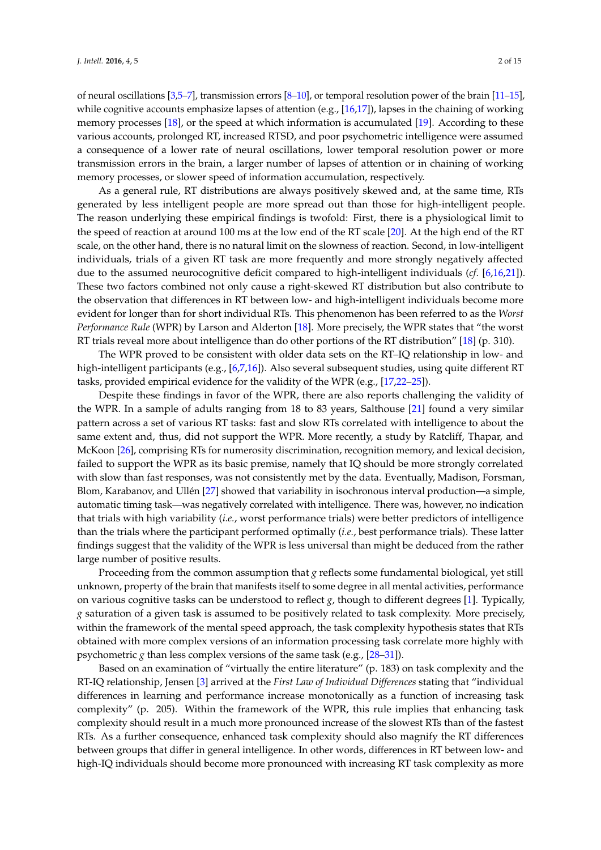of neural oscillations [\[3,](#page-12-2)[5–](#page-12-4)[7\]](#page-12-5), transmission errors [\[8–](#page-12-6)[10\]](#page-12-7), or temporal resolution power of the brain [\[11–](#page-12-8)[15\]](#page-12-9), while cognitive accounts emphasize lapses of attention (e.g., [\[16](#page-12-10)[,17\]](#page-13-0)), lapses in the chaining of working memory processes [\[18\]](#page-13-1), or the speed at which information is accumulated [\[19\]](#page-13-2). According to these various accounts, prolonged RT, increased RTSD, and poor psychometric intelligence were assumed a consequence of a lower rate of neural oscillations, lower temporal resolution power or more transmission errors in the brain, a larger number of lapses of attention or in chaining of working memory processes, or slower speed of information accumulation, respectively.

As a general rule, RT distributions are always positively skewed and, at the same time, RTs generated by less intelligent people are more spread out than those for high-intelligent people. The reason underlying these empirical findings is twofold: First, there is a physiological limit to the speed of reaction at around 100 ms at the low end of the RT scale [\[20\]](#page-13-3). At the high end of the RT scale, on the other hand, there is no natural limit on the slowness of reaction. Second, in low-intelligent individuals, trials of a given RT task are more frequently and more strongly negatively affected due to the assumed neurocognitive deficit compared to high-intelligent individuals (*cf*. [\[6,](#page-12-11)[16,](#page-12-10)[21\]](#page-13-4)). These two factors combined not only cause a right-skewed RT distribution but also contribute to the observation that differences in RT between low- and high-intelligent individuals become more evident for longer than for short individual RTs. This phenomenon has been referred to as the *Worst Performance Rule* (WPR) by Larson and Alderton [\[18\]](#page-13-1). More precisely, the WPR states that "the worst RT trials reveal more about intelligence than do other portions of the RT distribution" [\[18\]](#page-13-1) (p. 310).

The WPR proved to be consistent with older data sets on the RT–IQ relationship in low- and high-intelligent participants (e.g., [\[6,](#page-12-11)[7,](#page-12-5)[16\]](#page-12-10)). Also several subsequent studies, using quite different RT tasks, provided empirical evidence for the validity of the WPR (e.g., [\[17](#page-13-0)[,22–](#page-13-5)[25\]](#page-13-6)).

Despite these findings in favor of the WPR, there are also reports challenging the validity of the WPR. In a sample of adults ranging from 18 to 83 years, Salthouse [\[21\]](#page-13-4) found a very similar pattern across a set of various RT tasks: fast and slow RTs correlated with intelligence to about the same extent and, thus, did not support the WPR. More recently, a study by Ratcliff, Thapar, and McKoon [\[26\]](#page-13-7), comprising RTs for numerosity discrimination, recognition memory, and lexical decision, failed to support the WPR as its basic premise, namely that IQ should be more strongly correlated with slow than fast responses, was not consistently met by the data. Eventually, Madison, Forsman, Blom, Karabanov, and Ullén [\[27\]](#page-13-8) showed that variability in isochronous interval production—a simple, automatic timing task—was negatively correlated with intelligence. There was, however, no indication that trials with high variability (*i.e.*, worst performance trials) were better predictors of intelligence than the trials where the participant performed optimally (*i.e.*, best performance trials). These latter findings suggest that the validity of the WPR is less universal than might be deduced from the rather large number of positive results.

Proceeding from the common assumption that *g* reflects some fundamental biological, yet still unknown, property of the brain that manifests itself to some degree in all mental activities, performance on various cognitive tasks can be understood to reflect  $g$ , though to different degrees [\[1\]](#page-12-0). Typically, *g* saturation of a given task is assumed to be positively related to task complexity. More precisely, within the framework of the mental speed approach, the task complexity hypothesis states that RTs obtained with more complex versions of an information processing task correlate more highly with psychometric *g* than less complex versions of the same task (e.g., [\[28](#page-13-9)[–31\]](#page-13-10)).

Based on an examination of "virtually the entire literature" (p. 183) on task complexity and the RT-IQ relationship, Jensen [\[3\]](#page-12-2) arrived at the *First Law of Individual Differences* stating that "individual differences in learning and performance increase monotonically as a function of increasing task complexity" (p. 205). Within the framework of the WPR, this rule implies that enhancing task complexity should result in a much more pronounced increase of the slowest RTs than of the fastest RTs. As a further consequence, enhanced task complexity should also magnify the RT differences between groups that differ in general intelligence. In other words, differences in RT between low- and high-IQ individuals should become more pronounced with increasing RT task complexity as more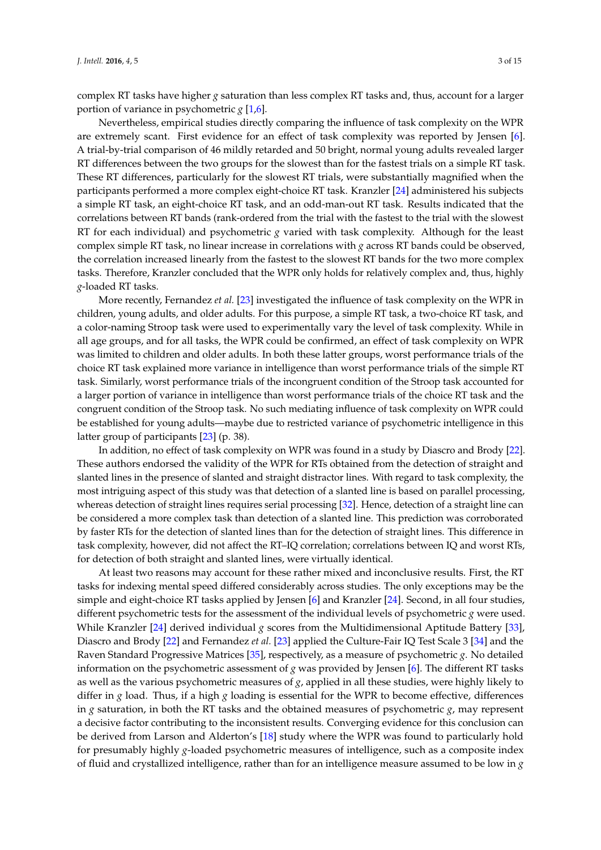complex RT tasks have higher *g* saturation than less complex RT tasks and, thus, account for a larger portion of variance in psychometric *g* [\[1,](#page-12-0)[6\]](#page-12-11).

Nevertheless, empirical studies directly comparing the influence of task complexity on the WPR are extremely scant. First evidence for an effect of task complexity was reported by Jensen [\[6\]](#page-12-11). A trial-by-trial comparison of 46 mildly retarded and 50 bright, normal young adults revealed larger RT differences between the two groups for the slowest than for the fastest trials on a simple RT task. These RT differences, particularly for the slowest RT trials, were substantially magnified when the participants performed a more complex eight-choice RT task. Kranzler [\[24\]](#page-13-11) administered his subjects a simple RT task, an eight-choice RT task, and an odd-man-out RT task. Results indicated that the correlations between RT bands (rank-ordered from the trial with the fastest to the trial with the slowest RT for each individual) and psychometric *g* varied with task complexity. Although for the least complex simple RT task, no linear increase in correlations with *g* across RT bands could be observed, the correlation increased linearly from the fastest to the slowest RT bands for the two more complex tasks. Therefore, Kranzler concluded that the WPR only holds for relatively complex and, thus, highly *g*-loaded RT tasks.

More recently, Fernandez *et al.* [\[23\]](#page-13-12) investigated the influence of task complexity on the WPR in children, young adults, and older adults. For this purpose, a simple RT task, a two-choice RT task, and a color-naming Stroop task were used to experimentally vary the level of task complexity. While in all age groups, and for all tasks, the WPR could be confirmed, an effect of task complexity on WPR was limited to children and older adults. In both these latter groups, worst performance trials of the choice RT task explained more variance in intelligence than worst performance trials of the simple RT task. Similarly, worst performance trials of the incongruent condition of the Stroop task accounted for a larger portion of variance in intelligence than worst performance trials of the choice RT task and the congruent condition of the Stroop task. No such mediating influence of task complexity on WPR could be established for young adults—maybe due to restricted variance of psychometric intelligence in this latter group of participants [\[23\]](#page-13-12) (p. 38).

In addition, no effect of task complexity on WPR was found in a study by Diascro and Brody [\[22\]](#page-13-5). These authors endorsed the validity of the WPR for RTs obtained from the detection of straight and slanted lines in the presence of slanted and straight distractor lines. With regard to task complexity, the most intriguing aspect of this study was that detection of a slanted line is based on parallel processing, whereas detection of straight lines requires serial processing [\[32\]](#page-13-13). Hence, detection of a straight line can be considered a more complex task than detection of a slanted line. This prediction was corroborated by faster RTs for the detection of slanted lines than for the detection of straight lines. This difference in task complexity, however, did not affect the RT–IQ correlation; correlations between IQ and worst RTs, for detection of both straight and slanted lines, were virtually identical.

At least two reasons may account for these rather mixed and inconclusive results. First, the RT tasks for indexing mental speed differed considerably across studies. The only exceptions may be the simple and eight-choice RT tasks applied by Jensen [\[6\]](#page-12-11) and Kranzler [\[24\]](#page-13-11). Second, in all four studies, different psychometric tests for the assessment of the individual levels of psychometric *g* were used. While Kranzler [\[24\]](#page-13-11) derived individual *g* scores from the Multidimensional Aptitude Battery [\[33\]](#page-13-14), Diascro and Brody [\[22\]](#page-13-5) and Fernandez *et al.* [\[23\]](#page-13-12) applied the Culture-Fair IQ Test Scale 3 [\[34\]](#page-13-15) and the Raven Standard Progressive Matrices [\[35\]](#page-13-16), respectively, as a measure of psychometric *g*. No detailed information on the psychometric assessment of *g* was provided by Jensen [\[6\]](#page-12-11). The different RT tasks as well as the various psychometric measures of *g*, applied in all these studies, were highly likely to differ in *g* load. Thus, if a high *g* loading is essential for the WPR to become effective, differences in *g* saturation, in both the RT tasks and the obtained measures of psychometric *g*, may represent a decisive factor contributing to the inconsistent results. Converging evidence for this conclusion can be derived from Larson and Alderton's [\[18\]](#page-13-1) study where the WPR was found to particularly hold for presumably highly *g*-loaded psychometric measures of intelligence, such as a composite index of fluid and crystallized intelligence, rather than for an intelligence measure assumed to be low in *g*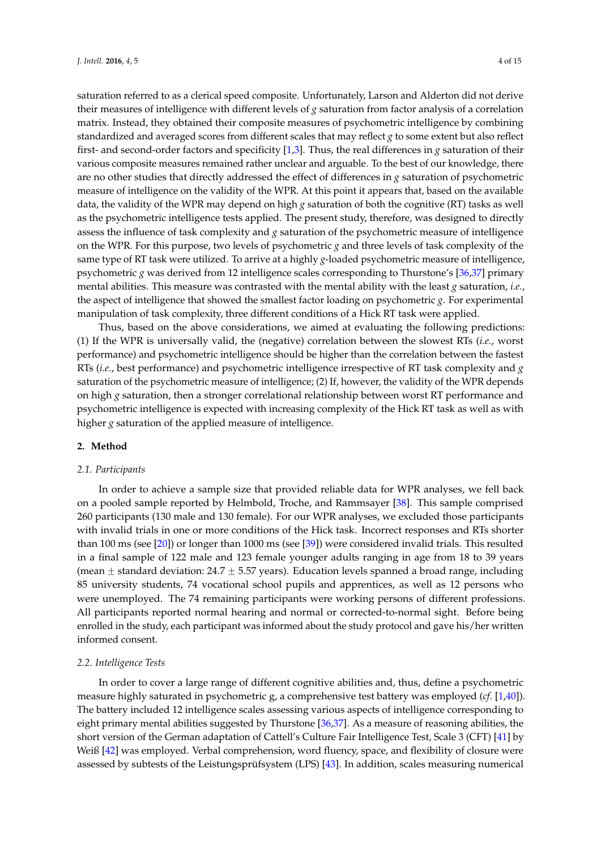saturation referred to as a clerical speed composite. Unfortunately, Larson and Alderton did not derive their measures of intelligence with different levels of *g* saturation from factor analysis of a correlation matrix. Instead, they obtained their composite measures of psychometric intelligence by combining standardized and averaged scores from different scales that may reflect *g* to some extent but also reflect first- and second-order factors and specificity [\[1,](#page-12-0)[3\]](#page-12-2). Thus, the real differences in *g* saturation of their various composite measures remained rather unclear and arguable. To the best of our knowledge, there are no other studies that directly addressed the effect of differences in *g* saturation of psychometric measure of intelligence on the validity of the WPR. At this point it appears that, based on the available data, the validity of the WPR may depend on high *g* saturation of both the cognitive (RT) tasks as well as the psychometric intelligence tests applied. The present study, therefore, was designed to directly assess the influence of task complexity and *g* saturation of the psychometric measure of intelligence on the WPR. For this purpose, two levels of psychometric *g* and three levels of task complexity of the same type of RT task were utilized. To arrive at a highly *g*-loaded psychometric measure of intelligence, psychometric *g* was derived from 12 intelligence scales corresponding to Thurstone's [\[36](#page-13-17)[,37\]](#page-13-18) primary mental abilities. This measure was contrasted with the mental ability with the least *g* saturation, *i.e.*, the aspect of intelligence that showed the smallest factor loading on psychometric *g*. For experimental manipulation of task complexity, three different conditions of a Hick RT task were applied.

Thus, based on the above considerations, we aimed at evaluating the following predictions: (1) If the WPR is universally valid, the (negative) correlation between the slowest RTs (*i.e.*, worst performance) and psychometric intelligence should be higher than the correlation between the fastest RTs (*i.e.*, best performance) and psychometric intelligence irrespective of RT task complexity and *g* saturation of the psychometric measure of intelligence; (2) If, however, the validity of the WPR depends on high *g* saturation, then a stronger correlational relationship between worst RT performance and psychometric intelligence is expected with increasing complexity of the Hick RT task as well as with higher *g* saturation of the applied measure of intelligence.

### **2. Method**

### *2.1. Participants*

In order to achieve a sample size that provided reliable data for WPR analyses, we fell back on a pooled sample reported by Helmbold, Troche, and Rammsayer [\[38\]](#page-13-19). This sample comprised 260 participants (130 male and 130 female). For our WPR analyses, we excluded those participants with invalid trials in one or more conditions of the Hick task. Incorrect responses and RTs shorter than 100 ms (see [\[20\]](#page-13-3)) or longer than 1000 ms (see [\[39\]](#page-13-20)) were considered invalid trials. This resulted in a final sample of 122 male and 123 female younger adults ranging in age from 18 to 39 years (mean  $\pm$  standard deviation: 24.7  $\pm$  5.57 years). Education levels spanned a broad range, including 85 university students, 74 vocational school pupils and apprentices, as well as 12 persons who were unemployed. The 74 remaining participants were working persons of different professions. All participants reported normal hearing and normal or corrected-to-normal sight. Before being enrolled in the study, each participant was informed about the study protocol and gave his/her written informed consent.

### *2.2. Intelligence Tests*

In order to cover a large range of different cognitive abilities and, thus, define a psychometric measure highly saturated in psychometric g, a comprehensive test battery was employed (*cf*. [\[1](#page-12-0)[,40\]](#page-13-21)). The battery included 12 intelligence scales assessing various aspects of intelligence corresponding to eight primary mental abilities suggested by Thurstone [\[36](#page-13-17)[,37\]](#page-13-18). As a measure of reasoning abilities, the short version of the German adaptation of Cattell's Culture Fair Intelligence Test, Scale 3 (CFT) [\[41\]](#page-13-22) by Weiß [\[42\]](#page-13-23) was employed. Verbal comprehension, word fluency, space, and flexibility of closure were assessed by subtests of the Leistungsprüfsystem (LPS) [\[43\]](#page-13-24). In addition, scales measuring numerical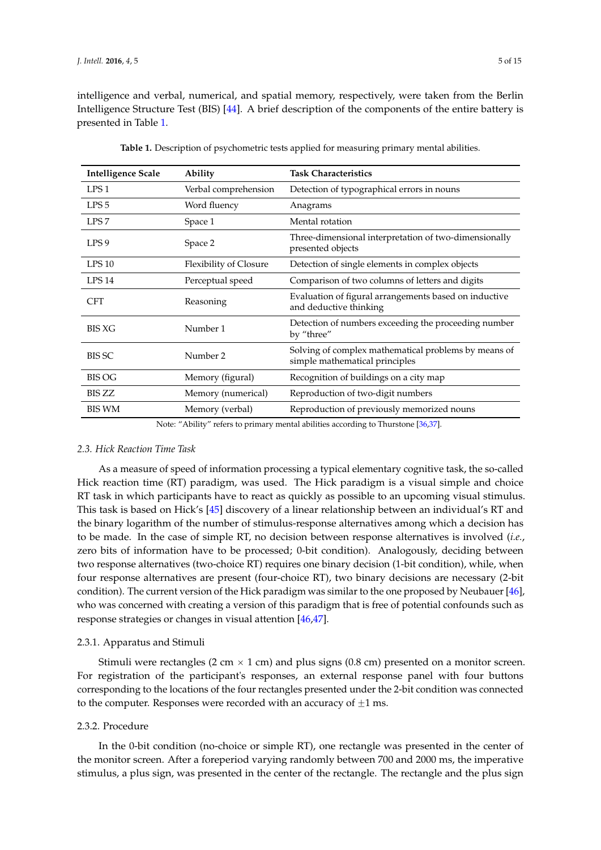intelligence and verbal, numerical, and spatial memory, respectively, were taken from the Berlin Intelligence Structure Test (BIS) [\[44\]](#page-13-25). A brief description of the components of the entire battery is presented in Table [1.](#page-4-0)

<span id="page-4-0"></span>

| <b>Intelligence Scale</b>                                                          | Ability                       | <b>Task Characteristics</b>                                                            |  |  |
|------------------------------------------------------------------------------------|-------------------------------|----------------------------------------------------------------------------------------|--|--|
| LPS <sub>1</sub>                                                                   | Verbal comprehension          | Detection of typographical errors in nouns                                             |  |  |
| LPS <sub>5</sub>                                                                   | Word fluency                  | Anagrams                                                                               |  |  |
| LPS <sub>7</sub>                                                                   | Space 1                       | Mental rotation                                                                        |  |  |
| LPS <sub>9</sub>                                                                   | Space 2                       | Three-dimensional interpretation of two-dimensionally<br>presented objects             |  |  |
| LPS 10                                                                             | <b>Flexibility of Closure</b> | Detection of single elements in complex objects                                        |  |  |
| LPS <sub>14</sub>                                                                  | Perceptual speed              | Comparison of two columns of letters and digits                                        |  |  |
| <b>CFT</b>                                                                         | Reasoning                     | Evaluation of figural arrangements based on inductive<br>and deductive thinking        |  |  |
| <b>BIS XG</b>                                                                      | Number 1                      | Detection of numbers exceeding the proceeding number<br>by "three"                     |  |  |
| <b>BIS SC</b>                                                                      | Number 2                      | Solving of complex mathematical problems by means of<br>simple mathematical principles |  |  |
| <b>BIS OG</b>                                                                      | Memory (figural)              | Recognition of buildings on a city map                                                 |  |  |
| BIS ZZ                                                                             | Memory (numerical)            | Reproduction of two-digit numbers                                                      |  |  |
| <b>BIS WM</b>                                                                      | Memory (verbal)               | Reproduction of previously memorized nouns                                             |  |  |
| Note: "Ability" refers to primary mental abilities according to Thurstone [36,37]. |                               |                                                                                        |  |  |

**Table 1.** Description of psychometric tests applied for measuring primary mental abilities.

# *2.3. Hick Reaction Time Task*

As a measure of speed of information processing a typical elementary cognitive task, the so-called Hick reaction time (RT) paradigm, was used. The Hick paradigm is a visual simple and choice RT task in which participants have to react as quickly as possible to an upcoming visual stimulus. This task is based on Hick's [\[45\]](#page-13-26) discovery of a linear relationship between an individual's RT and the binary logarithm of the number of stimulus-response alternatives among which a decision has to be made. In the case of simple RT, no decision between response alternatives is involved (*i.e.*, zero bits of information have to be processed; 0-bit condition). Analogously, deciding between two response alternatives (two-choice RT) requires one binary decision (1-bit condition), while, when four response alternatives are present (four-choice RT), two binary decisions are necessary (2-bit condition). The current version of the Hick paradigm was similar to the one proposed by Neubauer [\[46\]](#page-14-0), who was concerned with creating a version of this paradigm that is free of potential confounds such as response strategies or changes in visual attention [\[46,](#page-14-0)[47\]](#page-14-1).

### 2.3.1. Apparatus and Stimuli

Stimuli were rectangles (2 cm  $\times$  1 cm) and plus signs (0.8 cm) presented on a monitor screen. For registration of the participant's responses, an external response panel with four buttons corresponding to the locations of the four rectangles presented under the 2-bit condition was connected to the computer. Responses were recorded with an accuracy of  $\pm 1$  ms.

### 2.3.2. Procedure

In the 0-bit condition (no-choice or simple RT), one rectangle was presented in the center of the monitor screen. After a foreperiod varying randomly between 700 and 2000 ms, the imperative stimulus, a plus sign, was presented in the center of the rectangle. The rectangle and the plus sign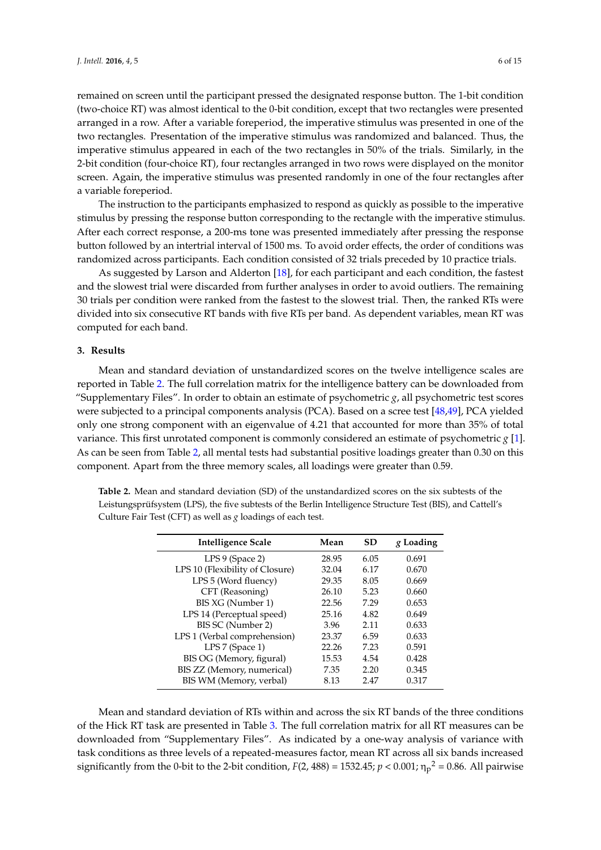remained on screen until the participant pressed the designated response button. The 1-bit condition (two-choice RT) was almost identical to the 0-bit condition, except that two rectangles were presented arranged in a row. After a variable foreperiod, the imperative stimulus was presented in one of the two rectangles. Presentation of the imperative stimulus was randomized and balanced. Thus, the imperative stimulus appeared in each of the two rectangles in 50% of the trials. Similarly, in the 2-bit condition (four-choice RT), four rectangles arranged in two rows were displayed on the monitor screen. Again, the imperative stimulus was presented randomly in one of the four rectangles after a variable foreperiod.

The instruction to the participants emphasized to respond as quickly as possible to the imperative stimulus by pressing the response button corresponding to the rectangle with the imperative stimulus. After each correct response, a 200-ms tone was presented immediately after pressing the response button followed by an intertrial interval of 1500 ms. To avoid order effects, the order of conditions was randomized across participants. Each condition consisted of 32 trials preceded by 10 practice trials.

As suggested by Larson and Alderton [\[18\]](#page-13-1), for each participant and each condition, the fastest and the slowest trial were discarded from further analyses in order to avoid outliers. The remaining 30 trials per condition were ranked from the fastest to the slowest trial. Then, the ranked RTs were divided into six consecutive RT bands with five RTs per band. As dependent variables, mean RT was computed for each band.

### **3. Results**

Mean and standard deviation of unstandardized scores on the twelve intelligence scales are reported in Table [2.](#page-5-0) The full correlation matrix for the intelligence battery can be downloaded from "Supplementary Files". In order to obtain an estimate of psychometric *g*, all psychometric test scores were subjected to a principal components analysis (PCA). Based on a scree test [\[48](#page-14-2)[,49\]](#page-14-3), PCA yielded only one strong component with an eigenvalue of 4.21 that accounted for more than 35% of total variance. This first unrotated component is commonly considered an estimate of psychometric *g* [\[1\]](#page-12-0). As can be seen from Table [2,](#page-5-0) all mental tests had substantial positive loadings greater than 0.30 on this component. Apart from the three memory scales, all loadings were greater than 0.59.

<span id="page-5-0"></span>**Table 2.** Mean and standard deviation (SD) of the unstandardized scores on the six subtests of the Leistungsprüfsystem (LPS), the five subtests of the Berlin Intelligence Structure Test (BIS), and Cattell's Culture Fair Test (CFT) as well as *g* loadings of each test.

| Intelligence Scale              | Mean  | <b>SD</b> | g Loading |
|---------------------------------|-------|-----------|-----------|
| LPS 9 (Space 2)                 | 28.95 | 6.05      | 0.691     |
| LPS 10 (Flexibility of Closure) | 32.04 | 6.17      | 0.670     |
| LPS 5 (Word fluency)            | 29.35 | 8.05      | 0.669     |
| CFT (Reasoning)                 | 26.10 | 5.23      | 0.660     |
| BIS XG (Number 1)               | 22.56 | 7.29      | 0.653     |
| LPS 14 (Perceptual speed)       | 25.16 | 4.82      | 0.649     |
| BIS SC (Number 2)               | 3.96  | 2.11      | 0.633     |
| LPS 1 (Verbal comprehension)    | 23.37 | 6.59      | 0.633     |
| LPS 7 (Space 1)                 | 22.26 | 7.23      | 0.591     |
| BIS OG (Memory, figural)        | 15.53 | 4.54      | 0.428     |
| BIS ZZ (Memory, numerical)      | 7.35  | 2.20      | 0.345     |
| BIS WM (Memory, verbal)         | 8.13  | 2.47      | 0.317     |

Mean and standard deviation of RTs within and across the six RT bands of the three conditions of the Hick RT task are presented in Table [3.](#page-6-0) The full correlation matrix for all RT measures can be downloaded from "Supplementary Files". As indicated by a one-way analysis of variance with task conditions as three levels of a repeated-measures factor, mean RT across all six bands increased significantly from the 0-bit to the 2-bit condition,  $F(2, 488) = 1532.45; p < 0.001; \eta_p^2 = 0.86$ . All pairwise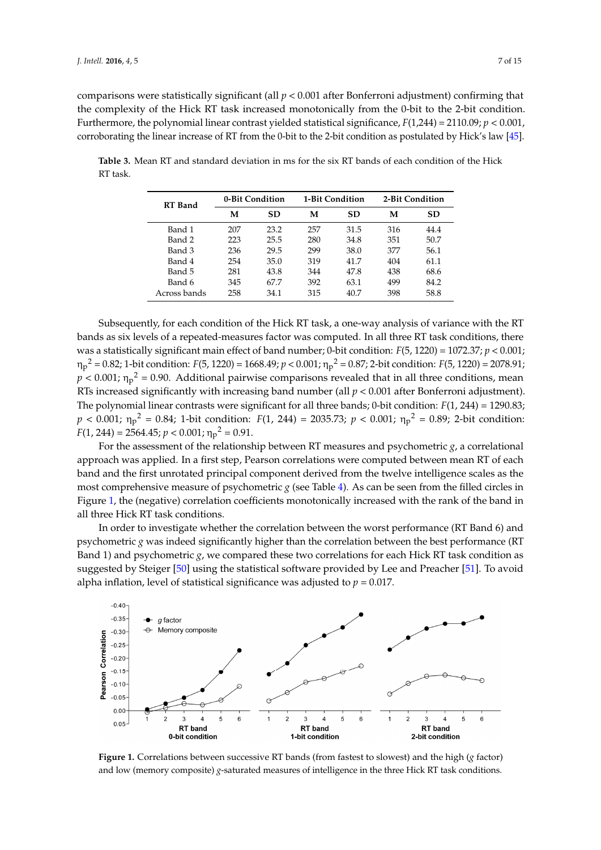comparisons were statistically significant (all *p* < 0.001 after Bonferroni adjustment) confirming that the complexity of the Hick RT task increased monotonically from the 0-bit to the 2-bit condition. Furthermore, the polynomial linear contrast yielded statistical significance,  $F(1,244) = 2110.09; p < 0.001$ , corroborating the linear increase of RT from the 0-bit to the 2-bit condition as postulated by Hick's law [\[45\]](#page-13-26).

<span id="page-6-0"></span>**Table 3.** Mean RT and standard deviation in ms for the six RT bands of each condition of the Hick RT task.  $0.01$ , corresponding the linear increase of  $R$  from the  $2-$ bit to the  $2-$ bit condition as postulated by  $0.01$ Hick's law and the control of the control of the control of the control of the control of the control of the control of the control of the control of the control of the control of the control of the control of the control

| <b>RT</b> Band | 0-Bit Condition |           | 1-Bit Condition |           | 2-Bit Condition                      |           |
|----------------|-----------------|-----------|-----------------|-----------|--------------------------------------|-----------|
|                | М               | <b>SD</b> | М               | <b>SD</b> | м<br>316<br>351<br>377<br>404<br>438 | <b>SD</b> |
| Band 1         | 207             | 23.2      | 257             | 31.5      |                                      | 44.4      |
| Band 2         | 223             | 25.5      | 280             | 34.8      |                                      | 50.7      |
| Band 3         | 236             | 29.5      | 299             | 38.0      |                                      | 56.1      |
| Band 4         | 254             | 35.0      | 319             | 41.7      |                                      | 61.1      |
| Band 5         | 281             | 43.8      | 344             | 47.8      |                                      | 68.6      |
| Band 6         | 345             | 67.7      | 392             | 63.1      | 499                                  | 84.2      |
| Across bands   | 258             | 34.1      | 315             | 40.7      | 398                                  | 58.8      |

Subsequently, for each condition of the Hick RT task, a one-way analysis of variance with the RT bands as six levels of a repeated-measures factor was computed. In all three RT task conditions, there was a statistically significant main effect of band number; 0-bit condition: *F*(5, 1220) = 1072.37; *p* < 0.001;  $\eta_p^2 = 0.82$ ; 1-bit condition:  $F(5, 1220) = 1668.49$ ;  $p < 0.001$ ;  $\eta_p^2 = 0.87$ ; 2-bit condition:  $F(5, 1220) = 2078.91$ ;  $p < 0.001$ ;  $\eta_p^2 = 0.90$ . Additional pairwise comparisons revealed that in all three conditions, mean RTs increased significantly with increasing band number (all  $p < 0.001$  after Bonferroni adjustment). The polynomial linear contrasts were significant for all three bands; 0-bit condition:  $F(1, 244)$  = 1290.83;  $F(1, 244)$  $p < 0.001$ ;  $\eta_p^2 = 0.84$ ; 1-bit condition:  $F(1, 244) = 2035.73$ ;  $p < 0.001$ ;  $\eta_p^2 = 0.89$ ; 2-bit condition:  $F(1, 244) = 2564.45; p < 0.001; \eta_p^2 = 0.91.$  $\frac{R}{\sigma}$  repeated-measures factor was considered measures factor was conditions,  $\frac{R}{\sigma}$  to  $\frac{R}{\sigma}$ 

For the assessment of the relationship between RT measures and psychometric  $g$ , a correlational approach was applied. In a first step, Pearson correlations were computed between mean RT of each for the first unrotated principal component derived from the twelve intelligence scales as the most comprehensive measure of psychometric *g* (see Table [4\)](#page-7-0). As can be seen from the filled circles in Figure [1,](#page-6-1) the (negative) correlation coefficients monotonically increased with the rank of the band in all three Hick RT task conditions.  $\frac{1}{2}$  the first unrotated principal component  $\frac{1}{2}$  (see Table 3). The can be seen from the twelve intelligence scales as the two scales as the two scales as the two scales as the two scales as the two scales as t

In order to investigate whether the correlation between the worst performance (RT Band 6) and psychometric  $g$  was indeed significantly higher than the correlation between the best performance (RT  $\,$ Band 1) and psychometric *g*, we compared these two correlations for each Hick RT task condition as suggested by Steiger [\[50\]](#page-14-4) using the statistical software provided by Lee and Preacher [\[51\]](#page-14-5). To avoid alpha inflation, level of statistical significance was adjusted to  $p = 0.017$ .

<span id="page-6-1"></span>

**Figure 1.** Correlations between successive RT bands (from fastest to slowest) and the high (*g* factor) ow (memory composite) *g*-saturated measures of intelligence in the three Hick RT task condit Figure 1. Correlations between successive RT bands (from fastest to slowest) and the high (*g* factor) and low (memory composite) *g*-saturated measures of intelligence in the three Hick RT task conditions. and low (memory composite) *g*-saturated measures of intelligence in the three Hick RT task conditions.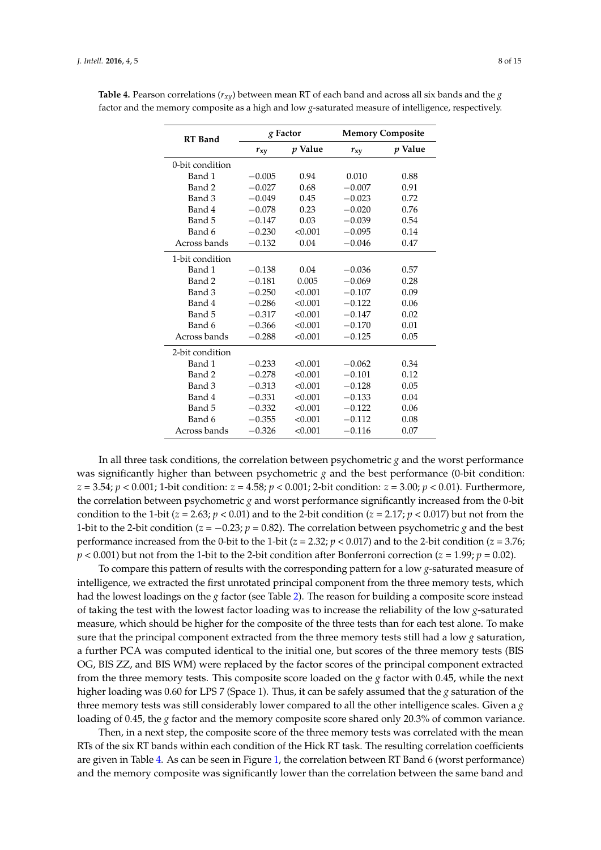| <b>RT</b> Band  |          | g Factor | <b>Memory Composite</b> |         |  |
|-----------------|----------|----------|-------------------------|---------|--|
|                 | $r_{xy}$ | p Value  | $r_{xy}$                | p Value |  |
| 0-bit condition |          |          |                         |         |  |
| Band 1          | $-0.005$ | 0.94     | 0.010                   | 0.88    |  |
| Band 2          | $-0.027$ | 0.68     | $-0.007$                | 0.91    |  |
| Band 3          | $-0.049$ | 0.45     | $-0.023$                | 0.72    |  |
| Band 4          | $-0.078$ | 0.23     | $-0.020$                | 0.76    |  |
| Band 5          | $-0.147$ | 0.03     | $-0.039$                | 0.54    |  |
| Band 6          | $-0.230$ | < 0.001  | $-0.095$                | 0.14    |  |
| Across bands    | $-0.132$ | 0.04     | $-0.046$                | 0.47    |  |
| 1-bit condition |          |          |                         |         |  |
| Band 1          | $-0.138$ | 0.04     | $-0.036$                | 0.57    |  |
| Band 2          | $-0.181$ | 0.005    | $-0.069$                | 0.28    |  |
| Band 3          | $-0.250$ | < 0.001  | $-0.107$                | 0.09    |  |
| Band 4          | $-0.286$ | < 0.001  | $-0.122$                | 0.06    |  |
| Band 5          | $-0.317$ | < 0.001  | $-0.147$                | 0.02    |  |
| Band 6          | $-0.366$ | < 0.001  | $-0.170$                | 0.01    |  |
| Across bands    | $-0.288$ | < 0.001  | $-0.125$                | 0.05    |  |
| 2-bit condition |          |          |                         |         |  |
| Band 1          | $-0.233$ | < 0.001  | $-0.062$                | 0.34    |  |
| Band 2          | $-0.278$ | < 0.001  | $-0.101$                | 0.12    |  |
| Band 3          | $-0.313$ | < 0.001  | $-0.128$                | 0.05    |  |
| Band 4          | $-0.331$ | < 0.001  | $-0.133$                | 0.04    |  |
| Band 5          | $-0.332$ | < 0.001  | $-0.122$                | 0.06    |  |
| Band 6          | $-0.355$ | < 0.001  | $-0.112$                | 0.08    |  |
| Across bands    | $-0.326$ | < 0.001  | $-0.116$                | 0.07    |  |

<span id="page-7-0"></span>**Table 4.** Pearson correlations ( $r_{xV}$ ) between mean RT of each band and across all six bands and the *g* factor and the memory composite as a high and low *g*-saturated measure of intelligence, respectively.

In all three task conditions, the correlation between psychometric *g* and the worst performance was significantly higher than between psychometric *g* and the best performance (0-bit condition: *z* = 3.54; *p* < 0.001; 1-bit condition: *z* = 4.58; *p* < 0.001; 2-bit condition: *z* = 3.00; *p* < 0.01). Furthermore, the correlation between psychometric *g* and worst performance significantly increased from the 0-bit condition to the 1-bit ( $z = 2.63$ ;  $p < 0.01$ ) and to the 2-bit condition ( $z = 2.17$ ;  $p < 0.017$ ) but not from the 1-bit to the 2-bit condition ( $z = -0.23$ ;  $p = 0.82$ ). The correlation between psychometric *g* and the best performance increased from the 0-bit to the 1-bit (*z* = 2.32; *p* < 0.017) and to the 2-bit condition (*z* = 3.76;  $p < 0.001$ ) but not from the 1-bit to the 2-bit condition after Bonferroni correction ( $z = 1.99$ ;  $p = 0.02$ ).

To compare this pattern of results with the corresponding pattern for a low *g*-saturated measure of intelligence, we extracted the first unrotated principal component from the three memory tests, which had the lowest loadings on the *g* factor (see Table [2\)](#page-5-0). The reason for building a composite score instead of taking the test with the lowest factor loading was to increase the reliability of the low *g*-saturated measure, which should be higher for the composite of the three tests than for each test alone. To make sure that the principal component extracted from the three memory tests still had a low *g* saturation, a further PCA was computed identical to the initial one, but scores of the three memory tests (BIS OG, BIS ZZ, and BIS WM) were replaced by the factor scores of the principal component extracted from the three memory tests. This composite score loaded on the *g* factor with 0.45, while the next higher loading was 0.60 for LPS 7 (Space 1). Thus, it can be safely assumed that the *g* saturation of the three memory tests was still considerably lower compared to all the other intelligence scales. Given a *g* loading of 0.45, the *g* factor and the memory composite score shared only 20.3% of common variance.

Then, in a next step, the composite score of the three memory tests was correlated with the mean RTs of the six RT bands within each condition of the Hick RT task. The resulting correlation coefficients are given in Table [4.](#page-7-0) As can be seen in Figure [1,](#page-6-1) the correlation between RT Band 6 (worst performance) and the memory composite was significantly lower than the correlation between the same band and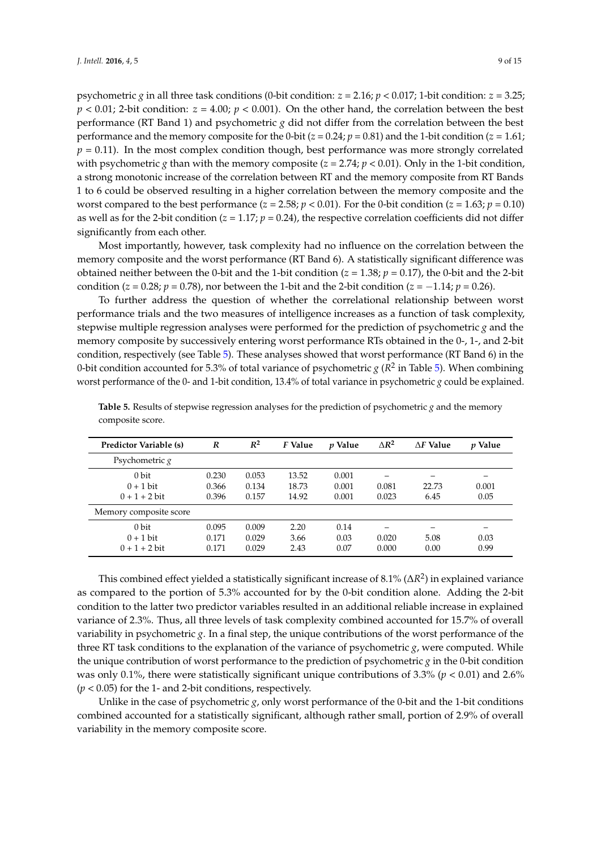psychometric *g* in all three task conditions (0-bit condition:  $z = 2.16$ ;  $p < 0.017$ ; 1-bit condition:  $z = 3.25$ ; *p* < 0.01; 2-bit condition: *z* = 4.00; *p* < 0.001). On the other hand, the correlation between the best performance (RT Band 1) and psychometric *g* did not differ from the correlation between the best performance and the memory composite for the 0-bit ( $z = 0.24$ ;  $p = 0.81$ ) and the 1-bit condition ( $z = 1.61$ ;  $p = 0.11$ ). In the most complex condition though, best performance was more strongly correlated with psychometric *g* than with the memory composite ( $z = 2.74$ ;  $p < 0.01$ ). Only in the 1-bit condition, a strong monotonic increase of the correlation between RT and the memory composite from RT Bands 1 to 6 could be observed resulting in a higher correlation between the memory composite and the worst compared to the best performance  $(z = 2.58; p < 0.01)$ . For the 0-bit condition  $(z = 1.63; p = 0.10)$ as well as for the 2-bit condition  $(z = 1.17; p = 0.24)$ , the respective correlation coefficients did not differ significantly from each other.

Most importantly, however, task complexity had no influence on the correlation between the memory composite and the worst performance (RT Band 6). A statistically significant difference was obtained neither between the 0-bit and the 1-bit condition ( $z = 1.38$ ;  $p = 0.17$ ), the 0-bit and the 2-bit condition (*z* = 0.28; *p* = 0.78), nor between the 1-bit and the 2-bit condition (*z* =  $-1.14$ ; *p* = 0.26).

To further address the question of whether the correlational relationship between worst performance trials and the two measures of intelligence increases as a function of task complexity, stepwise multiple regression analyses were performed for the prediction of psychometric *g* and the memory composite by successively entering worst performance RTs obtained in the 0-, 1-, and 2-bit condition, respectively (see Table [5\)](#page-8-0). These analyses showed that worst performance (RT Band 6) in the 0-bit condition accounted for 5.3% of total variance of psychometric  $g$  ( $R^2$  in Table [5\)](#page-8-0). When combining worst performance of the 0- and 1-bit condition, 13.4% of total variance in psychometric *g* could be explained.

| <b>Predictor Variable (s)</b>           | $\boldsymbol{R}$        | $R^2$                   | F Value                 | <i>v</i> Value          | $\triangle R^2$ | $\Delta F$ Value | <i>v</i> Value |
|-----------------------------------------|-------------------------|-------------------------|-------------------------|-------------------------|-----------------|------------------|----------------|
| Psychometric $g$                        |                         |                         |                         |                         |                 |                  |                |
| 0 bit<br>$0 + 1$ bit<br>$0 + 1 + 2$ bit | 0.230<br>0.366<br>0.396 | 0.053<br>0.134<br>0.157 | 13.52<br>18.73<br>14.92 | 0.001<br>0.001<br>0.001 | 0.081<br>0.023  | 22.73<br>6.45    | 0.001<br>0.05  |
| Memory composite score                  |                         |                         |                         |                         |                 |                  |                |
| 0 bit<br>$0 + 1$ bit<br>$0 + 1 + 2$ bit | 0.095<br>0.171<br>0.171 | 0.009<br>0.029<br>0.029 | 2.20<br>3.66<br>2.43    | 0.14<br>0.03<br>0.07    | 0.020<br>0.000  | 5.08<br>0.00     | 0.03<br>0.99   |

<span id="page-8-0"></span>**Table 5.** Results of stepwise regression analyses for the prediction of psychometric *g* and the memory composite score.

This combined effect yielded a statistically significant increase of 8.1% (∆*R* 2 ) in explained variance as compared to the portion of 5.3% accounted for by the 0-bit condition alone. Adding the 2-bit condition to the latter two predictor variables resulted in an additional reliable increase in explained variance of 2.3%. Thus, all three levels of task complexity combined accounted for 15.7% of overall variability in psychometric *g*. In a final step, the unique contributions of the worst performance of the three RT task conditions to the explanation of the variance of psychometric *g*, were computed. While the unique contribution of worst performance to the prediction of psychometric *g* in the 0-bit condition was only 0.1%, there were statistically significant unique contributions of 3.3% (*p* < 0.01) and 2.6% (*p* < 0.05) for the 1- and 2-bit conditions, respectively.

Unlike in the case of psychometric *g*, only worst performance of the 0-bit and the 1-bit conditions combined accounted for a statistically significant, although rather small, portion of 2.9% of overall variability in the memory composite score.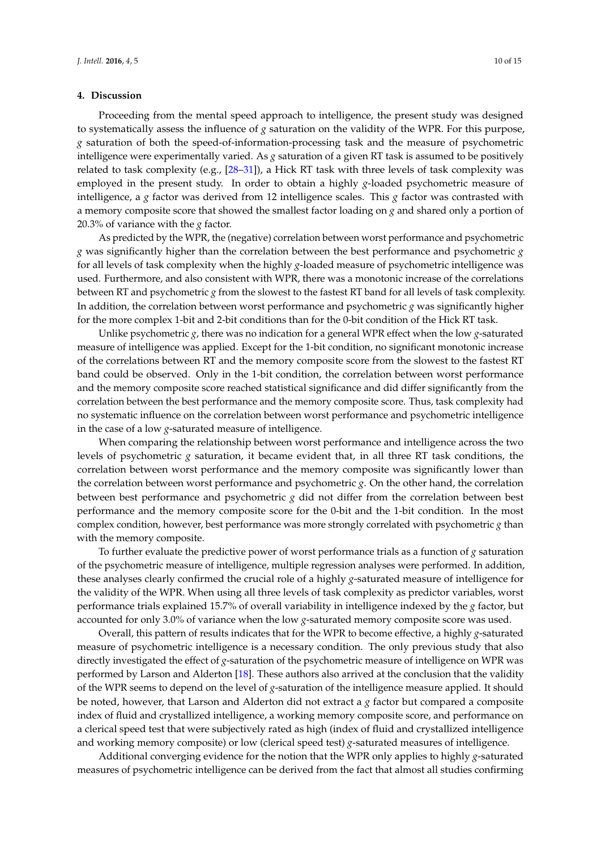### **4. Discussion**

Proceeding from the mental speed approach to intelligence, the present study was designed to systematically assess the influence of *g* saturation on the validity of the WPR. For this purpose, *g* saturation of both the speed-of-information-processing task and the measure of psychometric intelligence were experimentally varied. As *g* saturation of a given RT task is assumed to be positively related to task complexity (e.g., [\[28](#page-13-9)[–31\]](#page-13-10)), a Hick RT task with three levels of task complexity was employed in the present study. In order to obtain a highly *g*-loaded psychometric measure of intelligence, a *g* factor was derived from 12 intelligence scales. This *g* factor was contrasted with a memory composite score that showed the smallest factor loading on *g* and shared only a portion of 20.3% of variance with the *g* factor.

As predicted by the WPR, the (negative) correlation between worst performance and psychometric *g* was significantly higher than the correlation between the best performance and psychometric *g* for all levels of task complexity when the highly *g*-loaded measure of psychometric intelligence was used. Furthermore, and also consistent with WPR, there was a monotonic increase of the correlations between RT and psychometric *g* from the slowest to the fastest RT band for all levels of task complexity. In addition, the correlation between worst performance and psychometric *g* was significantly higher for the more complex 1-bit and 2-bit conditions than for the 0-bit condition of the Hick RT task.

Unlike psychometric *g*, there was no indication for a general WPR effect when the low *g*-saturated measure of intelligence was applied. Except for the 1-bit condition, no significant monotonic increase of the correlations between RT and the memory composite score from the slowest to the fastest RT band could be observed. Only in the 1-bit condition, the correlation between worst performance and the memory composite score reached statistical significance and did differ significantly from the correlation between the best performance and the memory composite score. Thus, task complexity had no systematic influence on the correlation between worst performance and psychometric intelligence in the case of a low *g*-saturated measure of intelligence.

When comparing the relationship between worst performance and intelligence across the two levels of psychometric *g* saturation, it became evident that, in all three RT task conditions, the correlation between worst performance and the memory composite was significantly lower than the correlation between worst performance and psychometric *g*. On the other hand, the correlation between best performance and psychometric *g* did not differ from the correlation between best performance and the memory composite score for the 0-bit and the 1-bit condition. In the most complex condition, however, best performance was more strongly correlated with psychometric *g* than with the memory composite.

To further evaluate the predictive power of worst performance trials as a function of *g* saturation of the psychometric measure of intelligence, multiple regression analyses were performed. In addition, these analyses clearly confirmed the crucial role of a highly *g*-saturated measure of intelligence for the validity of the WPR. When using all three levels of task complexity as predictor variables, worst performance trials explained 15.7% of overall variability in intelligence indexed by the *g* factor, but accounted for only 3.0% of variance when the low *g*-saturated memory composite score was used.

Overall, this pattern of results indicates that for the WPR to become effective, a highly *g*-saturated measure of psychometric intelligence is a necessary condition. The only previous study that also directly investigated the effect of *g*-saturation of the psychometric measure of intelligence on WPR was performed by Larson and Alderton [\[18\]](#page-13-1). These authors also arrived at the conclusion that the validity of the WPR seems to depend on the level of *g*-saturation of the intelligence measure applied. It should be noted, however, that Larson and Alderton did not extract a *g* factor but compared a composite index of fluid and crystallized intelligence, a working memory composite score, and performance on a clerical speed test that were subjectively rated as high (index of fluid and crystallized intelligence and working memory composite) or low (clerical speed test) *g*-saturated measures of intelligence.

Additional converging evidence for the notion that the WPR only applies to highly *g*-saturated measures of psychometric intelligence can be derived from the fact that almost all studies confirming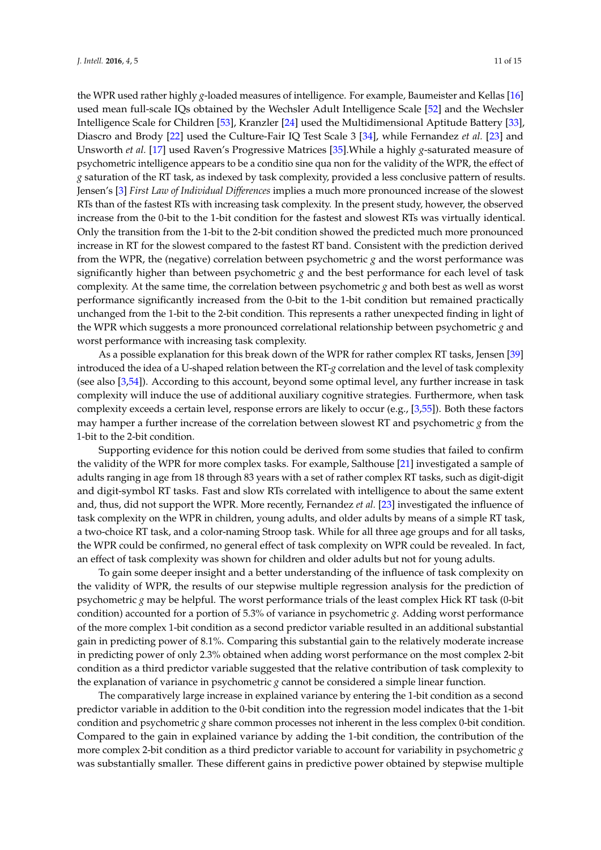the WPR used rather highly *g*-loaded measures of intelligence. For example, Baumeister and Kellas [\[16\]](#page-12-10) used mean full-scale IQs obtained by the Wechsler Adult Intelligence Scale [\[52\]](#page-14-6) and the Wechsler Intelligence Scale for Children [\[53\]](#page-14-7), Kranzler [\[24\]](#page-13-11) used the Multidimensional Aptitude Battery [\[33\]](#page-13-14), Diascro and Brody [\[22\]](#page-13-5) used the Culture-Fair IQ Test Scale 3 [\[34\]](#page-13-15), while Fernandez *et al.* [\[23\]](#page-13-12) and Unsworth *et al.* [\[17\]](#page-13-0) used Raven's Progressive Matrices [\[35\]](#page-13-16).While a highly *g*-saturated measure of psychometric intelligence appears to be a conditio sine qua non for the validity of the WPR, the effect of *g* saturation of the RT task, as indexed by task complexity, provided a less conclusive pattern of results. Jensen's [\[3\]](#page-12-2) *First Law of Individual Differences* implies a much more pronounced increase of the slowest RTs than of the fastest RTs with increasing task complexity. In the present study, however, the observed increase from the 0-bit to the 1-bit condition for the fastest and slowest RTs was virtually identical. Only the transition from the 1-bit to the 2-bit condition showed the predicted much more pronounced increase in RT for the slowest compared to the fastest RT band. Consistent with the prediction derived from the WPR, the (negative) correlation between psychometric *g* and the worst performance was significantly higher than between psychometric  $g$  and the best performance for each level of task complexity. At the same time, the correlation between psychometric *g* and both best as well as worst performance significantly increased from the 0-bit to the 1-bit condition but remained practically unchanged from the 1-bit to the 2-bit condition. This represents a rather unexpected finding in light of the WPR which suggests a more pronounced correlational relationship between psychometric *g* and worst performance with increasing task complexity.

As a possible explanation for this break down of the WPR for rather complex RT tasks, Jensen [\[39\]](#page-13-20) introduced the idea of a U-shaped relation between the RT-*g* correlation and the level of task complexity (see also [\[3,](#page-12-2)[54\]](#page-14-8)). According to this account, beyond some optimal level, any further increase in task complexity will induce the use of additional auxiliary cognitive strategies. Furthermore, when task complexity exceeds a certain level, response errors are likely to occur (e.g., [\[3,](#page-12-2)[55\]](#page-14-9)). Both these factors may hamper a further increase of the correlation between slowest RT and psychometric *g* from the 1-bit to the 2-bit condition.

Supporting evidence for this notion could be derived from some studies that failed to confirm the validity of the WPR for more complex tasks. For example, Salthouse [\[21\]](#page-13-4) investigated a sample of adults ranging in age from 18 through 83 years with a set of rather complex RT tasks, such as digit-digit and digit-symbol RT tasks. Fast and slow RTs correlated with intelligence to about the same extent and, thus, did not support the WPR. More recently, Fernandez *et al.* [\[23\]](#page-13-12) investigated the influence of task complexity on the WPR in children, young adults, and older adults by means of a simple RT task, a two-choice RT task, and a color-naming Stroop task. While for all three age groups and for all tasks, the WPR could be confirmed, no general effect of task complexity on WPR could be revealed. In fact, an effect of task complexity was shown for children and older adults but not for young adults.

To gain some deeper insight and a better understanding of the influence of task complexity on the validity of WPR, the results of our stepwise multiple regression analysis for the prediction of psychometric *g* may be helpful. The worst performance trials of the least complex Hick RT task (0-bit condition) accounted for a portion of 5.3% of variance in psychometric *g*. Adding worst performance of the more complex 1-bit condition as a second predictor variable resulted in an additional substantial gain in predicting power of 8.1%. Comparing this substantial gain to the relatively moderate increase in predicting power of only 2.3% obtained when adding worst performance on the most complex 2-bit condition as a third predictor variable suggested that the relative contribution of task complexity to the explanation of variance in psychometric *g* cannot be considered a simple linear function.

The comparatively large increase in explained variance by entering the 1-bit condition as a second predictor variable in addition to the 0-bit condition into the regression model indicates that the 1-bit condition and psychometric *g* share common processes not inherent in the less complex 0-bit condition. Compared to the gain in explained variance by adding the 1-bit condition, the contribution of the more complex 2-bit condition as a third predictor variable to account for variability in psychometric *g* was substantially smaller. These different gains in predictive power obtained by stepwise multiple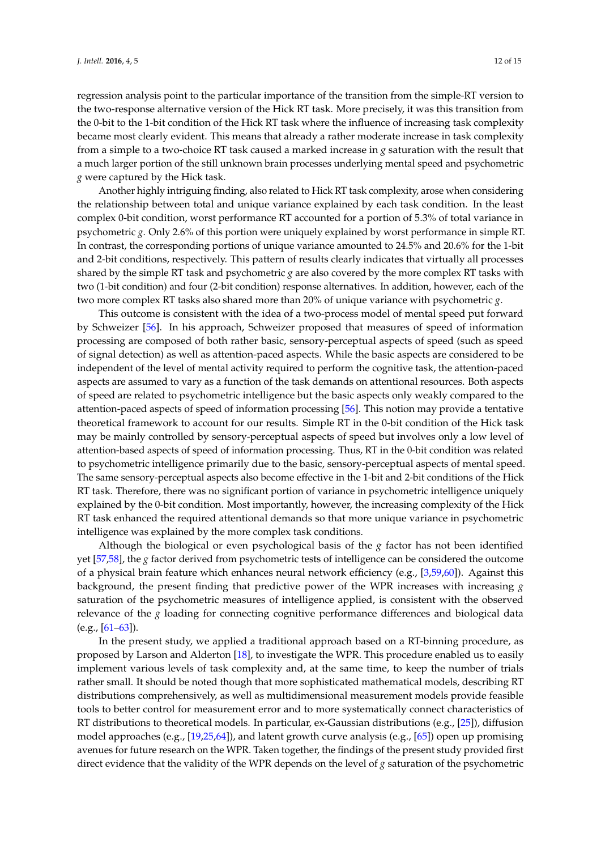regression analysis point to the particular importance of the transition from the simple-RT version to the two-response alternative version of the Hick RT task. More precisely, it was this transition from the 0-bit to the 1-bit condition of the Hick RT task where the influence of increasing task complexity became most clearly evident. This means that already a rather moderate increase in task complexity from a simple to a two-choice RT task caused a marked increase in *g* saturation with the result that a much larger portion of the still unknown brain processes underlying mental speed and psychometric *g* were captured by the Hick task.

Another highly intriguing finding, also related to Hick RT task complexity, arose when considering the relationship between total and unique variance explained by each task condition. In the least complex 0-bit condition, worst performance RT accounted for a portion of 5.3% of total variance in psychometric *g*. Only 2.6% of this portion were uniquely explained by worst performance in simple RT. In contrast, the corresponding portions of unique variance amounted to 24.5% and 20.6% for the 1-bit and 2-bit conditions, respectively. This pattern of results clearly indicates that virtually all processes shared by the simple RT task and psychometric *g* are also covered by the more complex RT tasks with two (1-bit condition) and four (2-bit condition) response alternatives. In addition, however, each of the two more complex RT tasks also shared more than 20% of unique variance with psychometric *g*.

This outcome is consistent with the idea of a two-process model of mental speed put forward by Schweizer [\[56\]](#page-14-10). In his approach, Schweizer proposed that measures of speed of information processing are composed of both rather basic, sensory-perceptual aspects of speed (such as speed of signal detection) as well as attention-paced aspects. While the basic aspects are considered to be independent of the level of mental activity required to perform the cognitive task, the attention-paced aspects are assumed to vary as a function of the task demands on attentional resources. Both aspects of speed are related to psychometric intelligence but the basic aspects only weakly compared to the attention-paced aspects of speed of information processing [\[56\]](#page-14-10). This notion may provide a tentative theoretical framework to account for our results. Simple RT in the 0-bit condition of the Hick task may be mainly controlled by sensory-perceptual aspects of speed but involves only a low level of attention-based aspects of speed of information processing. Thus, RT in the 0-bit condition was related to psychometric intelligence primarily due to the basic, sensory-perceptual aspects of mental speed. The same sensory-perceptual aspects also become effective in the 1-bit and 2-bit conditions of the Hick RT task. Therefore, there was no significant portion of variance in psychometric intelligence uniquely explained by the 0-bit condition. Most importantly, however, the increasing complexity of the Hick RT task enhanced the required attentional demands so that more unique variance in psychometric intelligence was explained by the more complex task conditions.

Although the biological or even psychological basis of the *g* factor has not been identified yet [\[57](#page-14-11)[,58\]](#page-14-12), the *g* factor derived from psychometric tests of intelligence can be considered the outcome of a physical brain feature which enhances neural network efficiency (e.g., [\[3,](#page-12-2)[59,](#page-14-13)[60\]](#page-14-14)). Against this background, the present finding that predictive power of the WPR increases with increasing *g* saturation of the psychometric measures of intelligence applied, is consistent with the observed relevance of the *g* loading for connecting cognitive performance differences and biological data  $(e.g., [61–63])$  $(e.g., [61–63])$  $(e.g., [61–63])$  $(e.g., [61–63])$ .

In the present study, we applied a traditional approach based on a RT-binning procedure, as proposed by Larson and Alderton [\[18\]](#page-13-1), to investigate the WPR. This procedure enabled us to easily implement various levels of task complexity and, at the same time, to keep the number of trials rather small. It should be noted though that more sophisticated mathematical models, describing RT distributions comprehensively, as well as multidimensional measurement models provide feasible tools to better control for measurement error and to more systematically connect characteristics of RT distributions to theoretical models. In particular, ex-Gaussian distributions (e.g., [\[25\]](#page-13-6)), diffusion model approaches (e.g., [\[19,](#page-13-2)[25,](#page-13-6)[64\]](#page-14-17)), and latent growth curve analysis (e.g., [\[65\]](#page-14-18)) open up promising avenues for future research on the WPR. Taken together, the findings of the present study provided first direct evidence that the validity of the WPR depends on the level of *g* saturation of the psychometric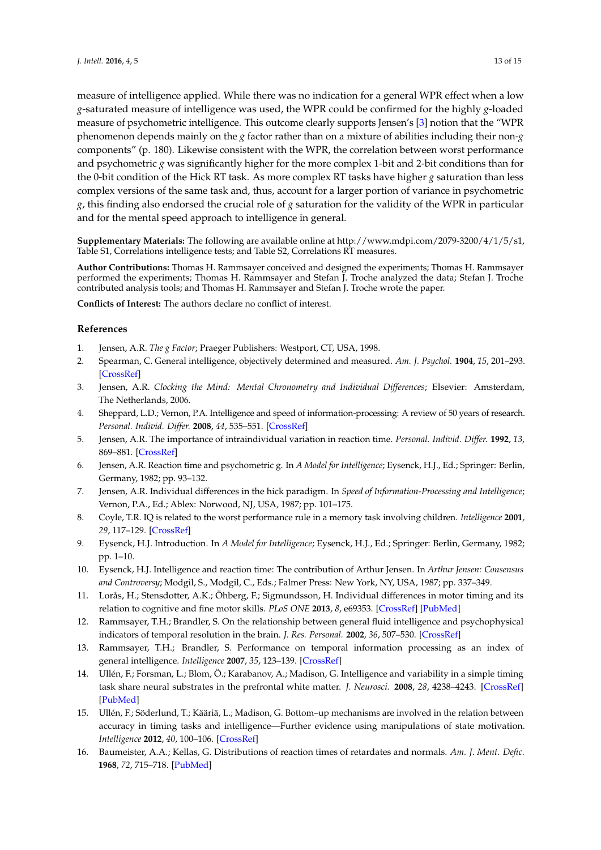measure of intelligence applied. While there was no indication for a general WPR effect when a low *g*-saturated measure of intelligence was used, the WPR could be confirmed for the highly *g*-loaded measure of psychometric intelligence. This outcome clearly supports Jensen's [\[3\]](#page-12-2) notion that the "WPR phenomenon depends mainly on the *g* factor rather than on a mixture of abilities including their non-*g* components" (p. 180). Likewise consistent with the WPR, the correlation between worst performance and psychometric *g* was significantly higher for the more complex 1-bit and 2-bit conditions than for the 0-bit condition of the Hick RT task. As more complex RT tasks have higher *g* saturation than less complex versions of the same task and, thus, account for a larger portion of variance in psychometric *g*, this finding also endorsed the crucial role of *g* saturation for the validity of the WPR in particular and for the mental speed approach to intelligence in general.

**Supplementary Materials:** The following are available online at http://www.mdpi.com/2079-3200/4/1/5/s1, Table S1, Correlations intelligence tests; and Table S2, Correlations RT measures.

**Author Contributions:** Thomas H. Rammsayer conceived and designed the experiments; Thomas H. Rammsayer performed the experiments; Thomas H. Rammsayer and Stefan J. Troche analyzed the data; Stefan J. Troche contributed analysis tools; and Thomas H. Rammsayer and Stefan J. Troche wrote the paper.

**Conflicts of Interest:** The authors declare no conflict of interest.

# **References**

- <span id="page-12-0"></span>1. Jensen, A.R. *The g Factor*; Praeger Publishers: Westport, CT, USA, 1998.
- <span id="page-12-1"></span>2. Spearman, C. General intelligence, objectively determined and measured. *Am. J. Psychol.* **1904**, *15*, 201–293. [\[CrossRef\]](http://dx.doi.org/10.2307/1412107)
- <span id="page-12-2"></span>3. Jensen, A.R. *Clocking the Mind: Mental Chronometry and Individual Differences*; Elsevier: Amsterdam, The Netherlands, 2006.
- <span id="page-12-3"></span>4. Sheppard, L.D.; Vernon, P.A. Intelligence and speed of information-processing: A review of 50 years of research. *Personal. Individ. Differ.* **2008**, *44*, 535–551. [\[CrossRef\]](http://dx.doi.org/10.1016/j.paid.2007.09.015)
- <span id="page-12-4"></span>5. Jensen, A.R. The importance of intraindividual variation in reaction time. *Personal. Individ. Differ.* **1992**, *13*, 869–881. [\[CrossRef\]](http://dx.doi.org/10.1016/0191-8869(92)90004-9)
- <span id="page-12-11"></span>6. Jensen, A.R. Reaction time and psychometric g. In *A Model for Intelligence*; Eysenck, H.J., Ed.; Springer: Berlin, Germany, 1982; pp. 93–132.
- <span id="page-12-5"></span>7. Jensen, A.R. Individual differences in the hick paradigm. In *Speed of Information-Processing and Intelligence*; Vernon, P.A., Ed.; Ablex: Norwood, NJ, USA, 1987; pp. 101–175.
- <span id="page-12-6"></span>8. Coyle, T.R. IQ is related to the worst performance rule in a memory task involving children. *Intelligence* **2001**, *29*, 117–129. [\[CrossRef\]](http://dx.doi.org/10.1016/S0160-2896(00)00044-1)
- 9. Eysenck, H.J. Introduction. In *A Model for Intelligence*; Eysenck, H.J., Ed.; Springer: Berlin, Germany, 1982; pp. 1–10.
- <span id="page-12-7"></span>10. Eysenck, H.J. Intelligence and reaction time: The contribution of Arthur Jensen. In *Arthur Jensen: Consensus and Controversy*; Modgil, S., Modgil, C., Eds.; Falmer Press: New York, NY, USA, 1987; pp. 337–349.
- <span id="page-12-8"></span>11. Lorås, H.; Stensdotter, A.K.; Öhberg, F.; Sigmundsson, H. Individual differences in motor timing and its relation to cognitive and fine motor skills. *PLoS ONE* **2013**, *8*, e69353. [\[CrossRef\]](http://dx.doi.org/10.1371/journal.pone.0069353) [\[PubMed\]](http://www.ncbi.nlm.nih.gov/pubmed/23874952)
- 12. Rammsayer, T.H.; Brandler, S. On the relationship between general fluid intelligence and psychophysical indicators of temporal resolution in the brain. *J. Res. Personal.* **2002**, *36*, 507–530. [\[CrossRef\]](http://dx.doi.org/10.1016/S0092-6566(02)00006-5)
- 13. Rammsayer, T.H.; Brandler, S. Performance on temporal information processing as an index of general intelligence. *Intelligence* **2007**, *35*, 123–139. [\[CrossRef\]](http://dx.doi.org/10.1016/j.intell.2006.04.007)
- 14. Ullén, F.; Forsman, L.; Blom, Ö.; Karabanov, A.; Madison, G. Intelligence and variability in a simple timing task share neural substrates in the prefrontal white matter. *J. Neurosci.* **2008**, *28*, 4238–4243. [\[CrossRef\]](http://dx.doi.org/10.1523/JNEUROSCI.0825-08.2008) [\[PubMed\]](http://www.ncbi.nlm.nih.gov/pubmed/18417703)
- <span id="page-12-9"></span>15. Ullén, F.; Söderlund, T.; Kääriä, L.; Madison, G. Bottom–up mechanisms are involved in the relation between accuracy in timing tasks and intelligence—Further evidence using manipulations of state motivation. *Intelligence* **2012**, *40*, 100–106. [\[CrossRef\]](http://dx.doi.org/10.1016/j.intell.2012.01.012)
- <span id="page-12-10"></span>16. Baumeister, A.A.; Kellas, G. Distributions of reaction times of retardates and normals. *Am. J. Ment. Defic.* **1968**, *72*, 715–718. [\[PubMed\]](http://www.ncbi.nlm.nih.gov/pubmed/5651031)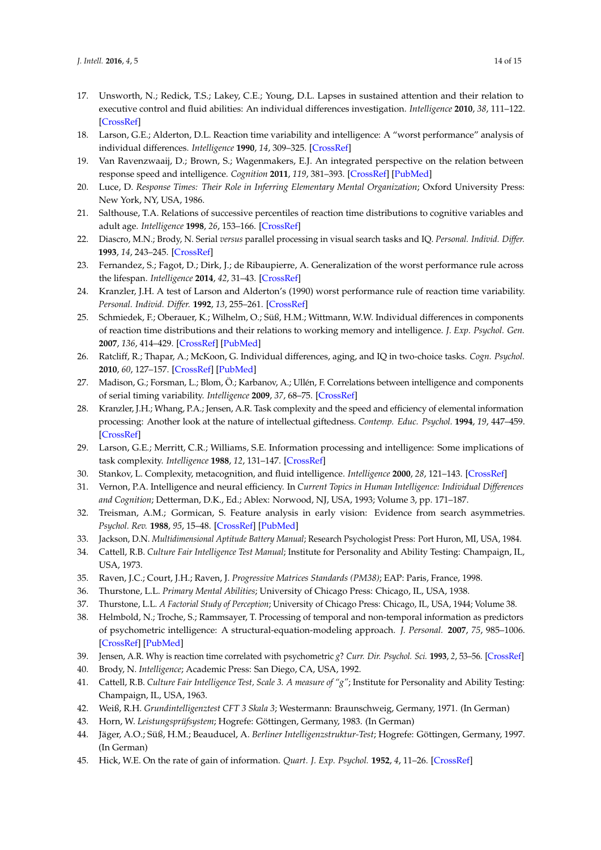- <span id="page-13-0"></span>17. Unsworth, N.; Redick, T.S.; Lakey, C.E.; Young, D.L. Lapses in sustained attention and their relation to executive control and fluid abilities: An individual differences investigation. *Intelligence* **2010**, *38*, 111–122. [\[CrossRef\]](http://dx.doi.org/10.1016/j.intell.2009.08.002)
- <span id="page-13-1"></span>18. Larson, G.E.; Alderton, D.L. Reaction time variability and intelligence: A "worst performance" analysis of individual differences. *Intelligence* **1990**, *14*, 309–325. [\[CrossRef\]](http://dx.doi.org/10.1016/0160-2896(90)90021-K)
- <span id="page-13-2"></span>19. Van Ravenzwaaij, D.; Brown, S.; Wagenmakers, E.J. An integrated perspective on the relation between response speed and intelligence. *Cognition* **2011**, *119*, 381–393. [\[CrossRef\]](http://dx.doi.org/10.1016/j.cognition.2011.02.002) [\[PubMed\]](http://www.ncbi.nlm.nih.gov/pubmed/21420077)
- <span id="page-13-3"></span>20. Luce, D. *Response Times: Their Role in Inferring Elementary Mental Organization*; Oxford University Press: New York, NY, USA, 1986.
- <span id="page-13-4"></span>21. Salthouse, T.A. Relations of successive percentiles of reaction time distributions to cognitive variables and adult age. *Intelligence* **1998**, *26*, 153–166. [\[CrossRef\]](http://dx.doi.org/10.1016/S0160-2896(99)80059-2)
- <span id="page-13-5"></span>22. Diascro, M.N.; Brody, N. Serial *versus* parallel processing in visual search tasks and IQ. *Personal. Individ. Differ.* **1993**, *14*, 243–245. [\[CrossRef\]](http://dx.doi.org/10.1016/0191-8869(93)90195-9)
- <span id="page-13-12"></span>23. Fernandez, S.; Fagot, D.; Dirk, J.; de Ribaupierre, A. Generalization of the worst performance rule across the lifespan. *Intelligence* **2014**, *42*, 31–43. [\[CrossRef\]](http://dx.doi.org/10.1016/j.intell.2013.10.001)
- <span id="page-13-11"></span>24. Kranzler, J.H. A test of Larson and Alderton's (1990) worst performance rule of reaction time variability. *Personal. Individ. Differ.* **1992**, *13*, 255–261. [\[CrossRef\]](http://dx.doi.org/10.1016/0191-8869(92)90099-B)
- <span id="page-13-6"></span>25. Schmiedek, F.; Oberauer, K.; Wilhelm, O.; Süß, H.M.; Wittmann, W.W. Individual differences in components of reaction time distributions and their relations to working memory and intelligence. *J. Exp. Psychol. Gen.* **2007**, *136*, 414–429. [\[CrossRef\]](http://dx.doi.org/10.1037/0096-3445.136.3.414) [\[PubMed\]](http://www.ncbi.nlm.nih.gov/pubmed/17696691)
- <span id="page-13-7"></span>26. Ratcliff, R.; Thapar, A.; McKoon, G. Individual differences, aging, and IQ in two-choice tasks. *Cogn. Psychol.* **2010**, *60*, 127–157. [\[CrossRef\]](http://dx.doi.org/10.1016/j.cogpsych.2009.09.001) [\[PubMed\]](http://www.ncbi.nlm.nih.gov/pubmed/19962693)
- <span id="page-13-8"></span>27. Madison, G.; Forsman, L.; Blom, Ö.; Karbanov, A.; Ullén, F. Correlations between intelligence and components of serial timing variability. *Intelligence* **2009**, *37*, 68–75. [\[CrossRef\]](http://dx.doi.org/10.1016/j.intell.2008.07.006)
- <span id="page-13-9"></span>28. Kranzler, J.H.; Whang, P.A.; Jensen, A.R. Task complexity and the speed and efficiency of elemental information processing: Another look at the nature of intellectual giftedness. *Contemp. Educ. Psychol.* **1994**, *19*, 447–459. [\[CrossRef\]](http://dx.doi.org/10.1006/ceps.1994.1032)
- 29. Larson, G.E.; Merritt, C.R.; Williams, S.E. Information processing and intelligence: Some implications of task complexity. *Intelligence* **1988**, *12*, 131–147. [\[CrossRef\]](http://dx.doi.org/10.1016/0160-2896(88)90012-8)
- 30. Stankov, L. Complexity, metacognition, and fluid intelligence. *Intelligence* **2000**, *28*, 121–143. [\[CrossRef\]](http://dx.doi.org/10.1016/S0160-2896(99)00033-1)
- <span id="page-13-10"></span>31. Vernon, P.A. Intelligence and neural efficiency. In *Current Topics in Human Intelligence: Individual Differences and Cognition*; Detterman, D.K., Ed.; Ablex: Norwood, NJ, USA, 1993; Volume 3, pp. 171–187.
- <span id="page-13-13"></span>32. Treisman, A.M.; Gormican, S. Feature analysis in early vision: Evidence from search asymmetries. *Psychol. Rev.* **1988**, *95*, 15–48. [\[CrossRef\]](http://dx.doi.org/10.1037/0033-295X.95.1.15) [\[PubMed\]](http://www.ncbi.nlm.nih.gov/pubmed/3353475)
- <span id="page-13-14"></span>33. Jackson, D.N. *Multidimensional Aptitude Battery Manual*; Research Psychologist Press: Port Huron, MI, USA, 1984.
- <span id="page-13-15"></span>34. Cattell, R.B. *Culture Fair Intelligence Test Manual*; Institute for Personality and Ability Testing: Champaign, IL, USA, 1973.
- <span id="page-13-16"></span>35. Raven, J.C.; Court, J.H.; Raven, J. *Progressive Matrices Standards (PM38)*; EAP: Paris, France, 1998.
- <span id="page-13-17"></span>36. Thurstone, L.L. *Primary Mental Abilities*; University of Chicago Press: Chicago, IL, USA, 1938.
- <span id="page-13-18"></span>37. Thurstone, L.L. *A Factorial Study of Perception*; University of Chicago Press: Chicago, IL, USA, 1944; Volume 38.
- <span id="page-13-19"></span>38. Helmbold, N.; Troche, S.; Rammsayer, T. Processing of temporal and non-temporal information as predictors of psychometric intelligence: A structural-equation-modeling approach. *J. Personal.* **2007**, *75*, 985–1006. [\[CrossRef\]](http://dx.doi.org/10.1111/j.1467-6494.2007.00463.x) [\[PubMed\]](http://www.ncbi.nlm.nih.gov/pubmed/17760854)
- <span id="page-13-20"></span>39. Jensen, A.R. Why is reaction time correlated with psychometric *g*? *Curr. Dir. Psychol. Sci.* **1993**, *2*, 53–56. [\[CrossRef\]](http://dx.doi.org/10.1111/1467-8721.ep10770697)
- <span id="page-13-21"></span>40. Brody, N. *Intelligence*; Academic Press: San Diego, CA, USA, 1992.
- <span id="page-13-22"></span>41. Cattell, R.B. *Culture Fair Intelligence Test, Scale 3. A measure of "g"*; Institute for Personality and Ability Testing: Champaign, IL, USA, 1963.
- <span id="page-13-23"></span>42. Weiß, R.H. *Grundintelligenztest CFT 3 Skala 3*; Westermann: Braunschweig, Germany, 1971. (In German)
- <span id="page-13-24"></span>43. Horn, W. *Leistungsprüfsystem*; Hogrefe: Göttingen, Germany, 1983. (In German)
- <span id="page-13-25"></span>44. Jäger, A.O.; Süß, H.M.; Beauducel, A. *Berliner Intelligenzstruktur-Test*; Hogrefe: Göttingen, Germany, 1997. (In German)
- <span id="page-13-26"></span>45. Hick, W.E. On the rate of gain of information. *Quart. J. Exp. Psychol.* **1952**, *4*, 11–26. [\[CrossRef\]](http://dx.doi.org/10.1080/17470215208416600)